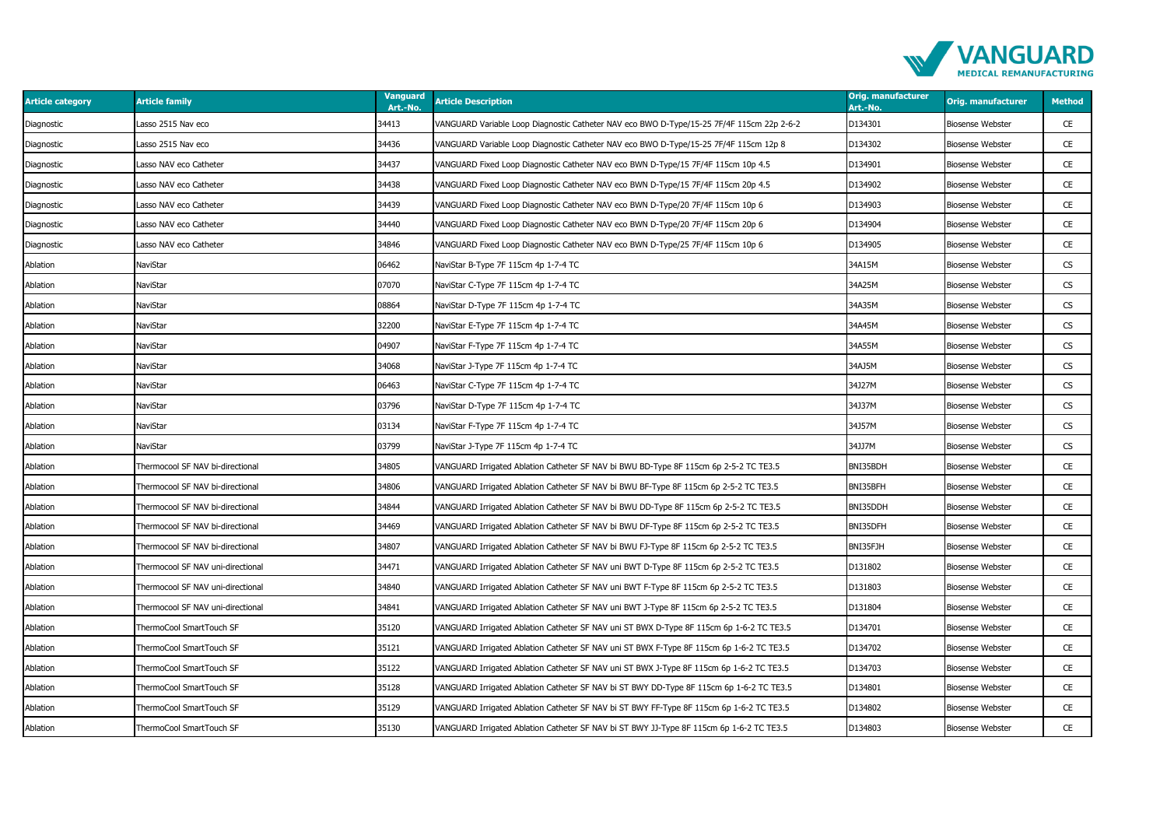

| <b>Article category</b> | <b>Article family</b>             | <b>Vanguard</b><br>Art.-No. | <b>Article Description</b>                                                                | <b>Orig. manufacturer</b><br>Art.-No. | <b>Orig. manufacturer</b> | <b>Method</b> |
|-------------------------|-----------------------------------|-----------------------------|-------------------------------------------------------------------------------------------|---------------------------------------|---------------------------|---------------|
| Diagnostic              | Lasso 2515 Nav eco                | 34413                       | VANGUARD Variable Loop Diagnostic Catheter NAV eco BWO D-Type/15-25 7F/4F 115cm 22p 2-6-2 | D134301                               | Biosense Webster          | CE            |
| Diagnostic              | Lasso 2515 Nav eco                | 34436                       | VANGUARD Variable Loop Diagnostic Catheter NAV eco BWO D-Type/15-25 7F/4F 115cm 12p 8     | D134302                               | Biosense Webster          | CE            |
| Diagnostic              | Lasso NAV eco Catheter            | 34437                       | VANGUARD Fixed Loop Diagnostic Catheter NAV eco BWN D-Type/15 7F/4F 115cm 10p 4.5         | D134901                               | Biosense Webster          | CE            |
| Diagnostic              | Lasso NAV eco Catheter            | 34438                       | VANGUARD Fixed Loop Diagnostic Catheter NAV eco BWN D-Type/15 7F/4F 115cm 20p 4.5         | D134902                               | <b>Biosense Webster</b>   | CE            |
| Diagnostic              | Lasso NAV eco Catheter            | 34439                       | VANGUARD Fixed Loop Diagnostic Catheter NAV eco BWN D-Type/20 7F/4F 115cm 10p 6           | D134903                               | Biosense Webster          | CE            |
| Diagnostic              | Lasso NAV eco Catheter            | 34440                       | VANGUARD Fixed Loop Diagnostic Catheter NAV eco BWN D-Type/20 7F/4F 115cm 20p 6           | D134904                               | <b>Biosense Webster</b>   | CE            |
| Diagnostic              | Lasso NAV eco Catheter            | 34846                       | VANGUARD Fixed Loop Diagnostic Catheter NAV eco BWN D-Type/25 7F/4F 115cm 10p 6           | D134905                               | Biosense Webster          | CE            |
| Ablation                | NaviStar                          | 06462                       | NaviStar B-Type 7F 115cm 4p 1-7-4 TC                                                      | 34A15M                                | <b>Biosense Webster</b>   | CS            |
| Ablation                | NaviStar                          | 07070                       | NaviStar C-Type 7F 115cm 4p 1-7-4 TC                                                      | 34A25M                                | Biosense Webster          | CS            |
| Ablation                | NaviStar                          | 08864                       | NaviStar D-Type 7F 115cm 4p 1-7-4 TC                                                      | 34A35M                                | <b>Biosense Webster</b>   | CS            |
| Ablation                | NaviStar                          | 32200                       | NaviStar E-Type 7F 115cm 4p 1-7-4 TC                                                      | 34A45M                                | Biosense Webster          | <b>CS</b>     |
| Ablation                | NaviStar                          | 04907                       | NaviStar F-Type 7F 115cm 4p 1-7-4 TC                                                      | 34A55M                                | <b>Biosense Webster</b>   | CS            |
| Ablation                | NaviStar                          | 34068                       | NaviStar J-Type 7F 115cm 4p 1-7-4 TC                                                      | 34AJ5M                                | Biosense Webster          | CS            |
| Ablation                | NaviStar                          | 06463                       | NaviStar C-Type 7F 115cm 4p 1-7-4 TC                                                      | 34J27M                                | <b>Biosense Webster</b>   | CS            |
| Ablation                | NaviStar                          | 03796                       | NaviStar D-Type 7F 115cm 4p 1-7-4 TC                                                      | 34J37M                                | <b>Biosense Webster</b>   | CS            |
| Ablation                | NaviStar                          | 03134                       | NaviStar F-Type 7F 115cm 4p 1-7-4 TC                                                      | 34J57M                                | <b>Biosense Webster</b>   | CS            |
| Ablation                | NaviStar                          | 03799                       | NaviStar J-Type 7F 115cm 4p 1-7-4 TC                                                      | 34JJ7M                                | Biosense Webster          | CS            |
| Ablation                | Thermocool SF NAV bi-directional  | 34805                       | VANGUARD Irrigated Ablation Catheter SF NAV bi BWU BD-Type 8F 115cm 6p 2-5-2 TC TE3.5     | BNI35BDH                              | <b>Biosense Webster</b>   | CE            |
| Ablation                | Thermocool SF NAV bi-directional  | 34806                       | VANGUARD Irrigated Ablation Catheter SF NAV bi BWU BF-Type 8F 115cm 6p 2-5-2 TC TE3.5     | BNI35BFH                              | <b>Biosense Webster</b>   | CE            |
| Ablation                | Thermocool SF NAV bi-directional  | 34844                       | VANGUARD Irrigated Ablation Catheter SF NAV bi BWU DD-Type 8F 115cm 6p 2-5-2 TC TE3.5     | BNI35DDH                              | Biosense Webster          | CE            |
| Ablation                | Thermocool SF NAV bi-directional  | 34469                       | VANGUARD Irrigated Ablation Catheter SF NAV bi BWU DF-Type 8F 115cm 6p 2-5-2 TC TE3.5     | BNI35DFH                              | Biosense Webster          | CE            |
| Ablation                | Thermocool SF NAV bi-directional  | 34807                       | VANGUARD Irrigated Ablation Catheter SF NAV bi BWU FJ-Type 8F 115cm 6p 2-5-2 TC TE3.5     | BNI35FJH                              | <b>Biosense Webster</b>   | CE            |
| Ablation                | Thermocool SF NAV uni-directional | 34471                       | VANGUARD Irrigated Ablation Catheter SF NAV uni BWT D-Type 8F 115cm 6p 2-5-2 TC TE3.5     | D131802                               | Biosense Webster          | CE            |
| Ablation                | Thermocool SF NAV uni-directional | 34840                       | VANGUARD Irrigated Ablation Catheter SF NAV uni BWT F-Type 8F 115cm 6p 2-5-2 TC TE3.5     | D131803                               | <b>Biosense Webster</b>   | CE            |
| Ablation                | Thermocool SF NAV uni-directional | 34841                       | VANGUARD Irrigated Ablation Catheter SF NAV uni BWT J-Type 8F 115cm 6p 2-5-2 TC TE3.5     | D131804                               | <b>Biosense Webster</b>   | CE            |
| Ablation                | ThermoCool SmartTouch SF          | 35120                       | VANGUARD Irrigated Ablation Catheter SF NAV uni ST BWX D-Type 8F 115cm 6p 1-6-2 TC TE3.5  | D134701                               | Biosense Webster          | CE            |
| Ablation                | ThermoCool SmartTouch SF          | 35121                       | VANGUARD Irrigated Ablation Catheter SF NAV uni ST BWX F-Type 8F 115cm 6p 1-6-2 TC TE3.5  | D134702                               | <b>Biosense Webster</b>   | CE            |
| Ablation                | ThermoCool SmartTouch SF          | 35122                       | VANGUARD Irrigated Ablation Catheter SF NAV uni ST BWX J-Type 8F 115cm 6p 1-6-2 TC TE3.5  | D134703                               | <b>Biosense Webster</b>   | CE            |
| Ablation                | ThermoCool SmartTouch SF          | 35128                       | VANGUARD Irrigated Ablation Catheter SF NAV bi ST BWY DD-Type 8F 115cm 6p 1-6-2 TC TE3.5  | D134801                               | Biosense Webster          | CE            |
| Ablation                | ThermoCool SmartTouch SF          | 35129                       | VANGUARD Irrigated Ablation Catheter SF NAV bi ST BWY FF-Type 8F 115cm 6p 1-6-2 TC TE3.5  | D134802                               | <b>Biosense Webster</b>   | CE            |
| Ablation                | ThermoCool SmartTouch SF          | 35130                       | VANGUARD Irrigated Ablation Catheter SF NAV bi ST BWY JJ-Type 8F 115cm 6p 1-6-2 TC TE3.5  | D134803                               | <b>Biosense Webster</b>   | CE            |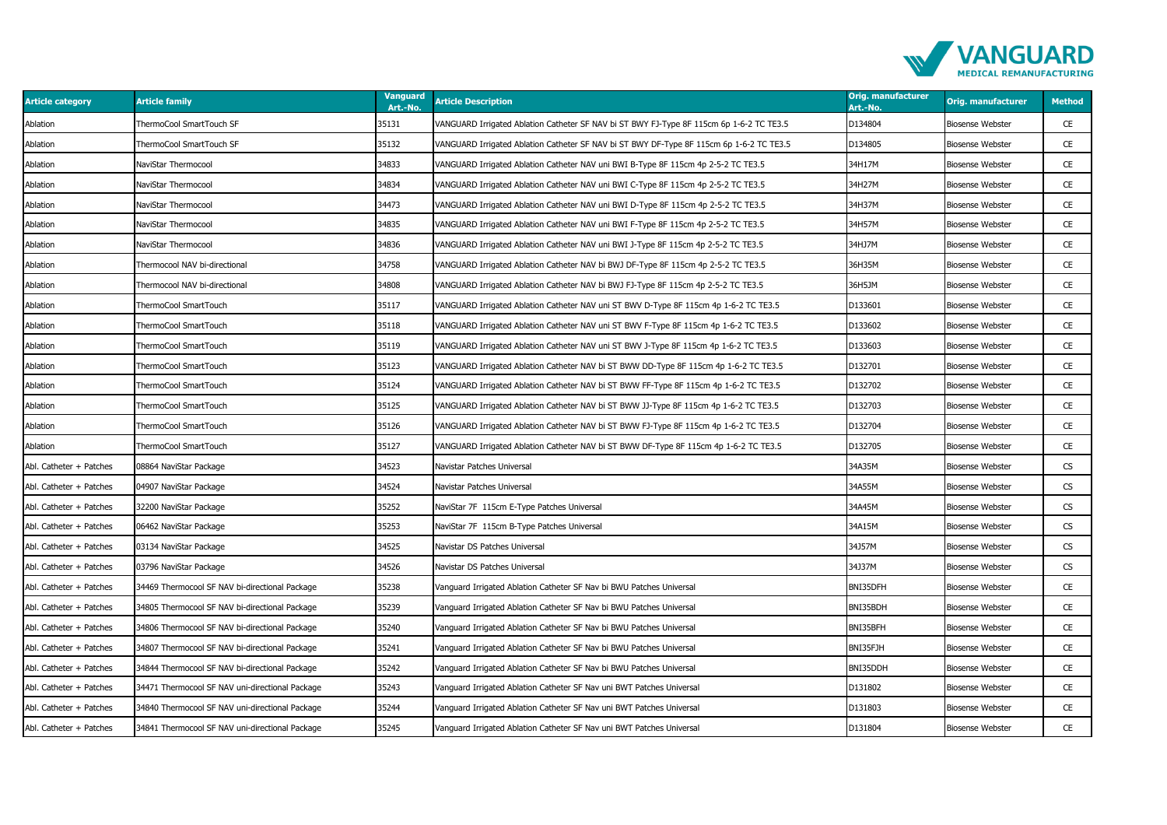

| <b>Article category</b> | <b>Article family</b>                           | <b>Vanguard</b><br>Art.-No. | <b>Article Description</b>                                                               | <b>Orig. manufacturer</b><br>Art.-No. | <b>Orig. manufacturer</b> | <b>Method</b> |
|-------------------------|-------------------------------------------------|-----------------------------|------------------------------------------------------------------------------------------|---------------------------------------|---------------------------|---------------|
| Ablation                | ThermoCool SmartTouch SF                        | 35131                       | VANGUARD Irrigated Ablation Catheter SF NAV bi ST BWY FJ-Type 8F 115cm 6p 1-6-2 TC TE3.5 | D134804                               | Biosense Webster          | CE            |
| Ablation                | ThermoCool SmartTouch SF                        | 35132                       | VANGUARD Irrigated Ablation Catheter SF NAV bi ST BWY DF-Type 8F 115cm 6p 1-6-2 TC TE3.5 | D134805                               | Biosense Webster          | CE            |
| Ablation                | NaviStar Thermocool                             | 34833                       | VANGUARD Irrigated Ablation Catheter NAV uni BWI B-Type 8F 115cm 4p 2-5-2 TC TE3.5       | 34H17M                                | Biosense Webster          | CE            |
| Ablation                | NaviStar Thermocool                             | 34834                       | VANGUARD Irrigated Ablation Catheter NAV uni BWI C-Type 8F 115cm 4p 2-5-2 TC TE3.5       | 34H27M                                | <b>Biosense Webster</b>   | CE            |
| Ablation                | NaviStar Thermocool                             | 34473                       | VANGUARD Irrigated Ablation Catheter NAV uni BWI D-Type 8F 115cm 4p 2-5-2 TC TE3.5       | 34H37M                                | Biosense Webster          | CE            |
| Ablation                | NaviStar Thermocool                             | 34835                       | VANGUARD Irrigated Ablation Catheter NAV uni BWI F-Type 8F 115cm 4p 2-5-2 TC TE3.5       | 34H57M                                | Biosense Webster          | CE            |
| Ablation                | NaviStar Thermocool                             | 34836                       | VANGUARD Irrigated Ablation Catheter NAV uni BWI J-Type 8F 115cm 4p 2-5-2 TC TE3.5       | 34HJ7M                                | Biosense Webster          | CE            |
| Ablation                | Thermocool NAV bi-directional                   | 34758                       | VANGUARD Irrigated Ablation Catheter NAV bi BWJ DF-Type 8F 115cm 4p 2-5-2 TC TE3.5       | 36H35M                                | Biosense Webster          | CE            |
| Ablation                | Thermocool NAV bi-directional                   | 34808                       | VANGUARD Irrigated Ablation Catheter NAV bi BWJ FJ-Type 8F 115cm 4p 2-5-2 TC TE3.5       | 36H5JM                                | Biosense Webster          | CE            |
| Ablation                | ThermoCool SmartTouch                           | 35117                       | VANGUARD Irrigated Ablation Catheter NAV uni ST BWV D-Type 8F 115cm 4p 1-6-2 TC TE3.5    | D133601                               | <b>Biosense Webster</b>   | CE            |
| Ablation                | ThermoCool SmartTouch                           | 35118                       | /ANGUARD Irrigated Ablation Catheter NAV uni ST BWV F-Type 8F 115cm 4p 1-6-2 TC TE3.5    | D133602                               | Biosense Webster          | CE            |
| Ablation                | ThermoCool SmartTouch                           | 35119                       | VANGUARD Irrigated Ablation Catheter NAV uni ST BWV J-Type 8F 115cm 4p 1-6-2 TC TE3.5    | D133603                               | <b>Biosense Webster</b>   | CE            |
| Ablation                | ThermoCool SmartTouch                           | 35123                       | VANGUARD Irrigated Ablation Catheter NAV bi ST BWW DD-Type 8F 115cm 4p 1-6-2 TC TE3.5    | D132701                               | Biosense Webster          | CE            |
| Ablation                | ThermoCool SmartTouch                           | 35124                       | VANGUARD Irrigated Ablation Catheter NAV bi ST BWW FF-Type 8F 115cm 4p 1-6-2 TC TE3.5    | D132702                               | Biosense Webster          | CE            |
| Ablation                | ThermoCool SmartTouch                           | 35125                       | VANGUARD Irrigated Ablation Catheter NAV bi ST BWW JJ-Type 8F 115cm 4p 1-6-2 TC TE3.5    | D132703                               | <b>Biosense Webster</b>   | CE            |
| Ablation                | ThermoCool SmartTouch                           | 35126                       | VANGUARD Irrigated Ablation Catheter NAV bi ST BWW FJ-Type 8F 115cm 4p 1-6-2 TC TE3.5    | D132704                               | Biosense Webster          | CE            |
| Ablation                | ThermoCool SmartTouch                           | 35127                       | /ANGUARD Irrigated Ablation Catheter NAV bi ST BWW DF-Type 8F 115cm 4p 1-6-2 TC TE3.5    | D132705                               | Biosense Webster          | CE            |
| Abl. Catheter + Patches | 08864 NaviStar Package                          | 34523                       | Navistar Patches Universal                                                               | 34A35M                                | <b>Biosense Webster</b>   | CS            |
| Abl. Catheter + Patches | 04907 NaviStar Package                          | 34524                       | Navistar Patches Universal                                                               | 34A55M                                | <b>Biosense Webster</b>   | CS            |
| Abl. Catheter + Patches | 32200 NaviStar Package                          | 35252                       | NaviStar 7F 115cm E-Type Patches Universal                                               | 34A45M                                | Biosense Webster          | CS            |
| Abl. Catheter + Patches | 06462 NaviStar Package                          | 35253                       | NaviStar 7F 115cm B-Type Patches Universal                                               | 34A15M                                | <b>Biosense Webster</b>   | CS            |
| Abl. Catheter + Patches | 03134 NaviStar Package                          | 34525                       | Navistar DS Patches Universal                                                            | 34J57M                                | <b>Biosense Webster</b>   | <b>CS</b>     |
| Abl. Catheter + Patches | 03796 NaviStar Package                          | 34526                       | Navistar DS Patches Universal                                                            | 34J37M                                | Biosense Webster          | CS            |
| Abl. Catheter + Patches | 34469 Thermocool SF NAV bi-directional Package  | 35238                       | Vanguard Irrigated Ablation Catheter SF Nav bi BWU Patches Universal                     | BNI35DFH                              | <b>Biosense Webster</b>   | CE            |
| Abl. Catheter + Patches | 34805 Thermocool SF NAV bi-directional Package  | 35239                       | Vanguard Irrigated Ablation Catheter SF Nav bi BWU Patches Universal                     | BNI35BDH                              | <b>Biosense Webster</b>   | CE            |
| Abl. Catheter + Patches | 34806 Thermocool SF NAV bi-directional Package  | 35240                       | Vanguard Irrigated Ablation Catheter SF Nav bi BWU Patches Universal                     | BNI35BFH                              | Biosense Webster          | CE            |
| Abl. Catheter + Patches | 34807 Thermocool SF NAV bi-directional Package  | 35241                       | Vanguard Irrigated Ablation Catheter SF Nav bi BWU Patches Universal                     | BNI35FJH                              | <b>Biosense Webster</b>   | CE            |
| Abl. Catheter + Patches | 34844 Thermocool SF NAV bi-directional Package  | 35242                       | Vanguard Irrigated Ablation Catheter SF Nav bi BWU Patches Universal                     | BNI35DDH                              | <b>Biosense Webster</b>   | CE            |
| Abl. Catheter + Patches | 34471 Thermocool SF NAV uni-directional Package | 35243                       | Vanguard Irrigated Ablation Catheter SF Nav uni BWT Patches Universal                    | D131802                               | Biosense Webster          | CE            |
| Abl. Catheter + Patches | 34840 Thermocool SF NAV uni-directional Package | 35244                       | Vanguard Irrigated Ablation Catheter SF Nav uni BWT Patches Universal                    | D131803                               | <b>Biosense Webster</b>   | CE            |
| Abl. Catheter + Patches | 34841 Thermocool SF NAV uni-directional Package | 35245                       | Vanguard Irrigated Ablation Catheter SF Nav uni BWT Patches Universal                    | D131804                               | <b>Biosense Webster</b>   | CE            |